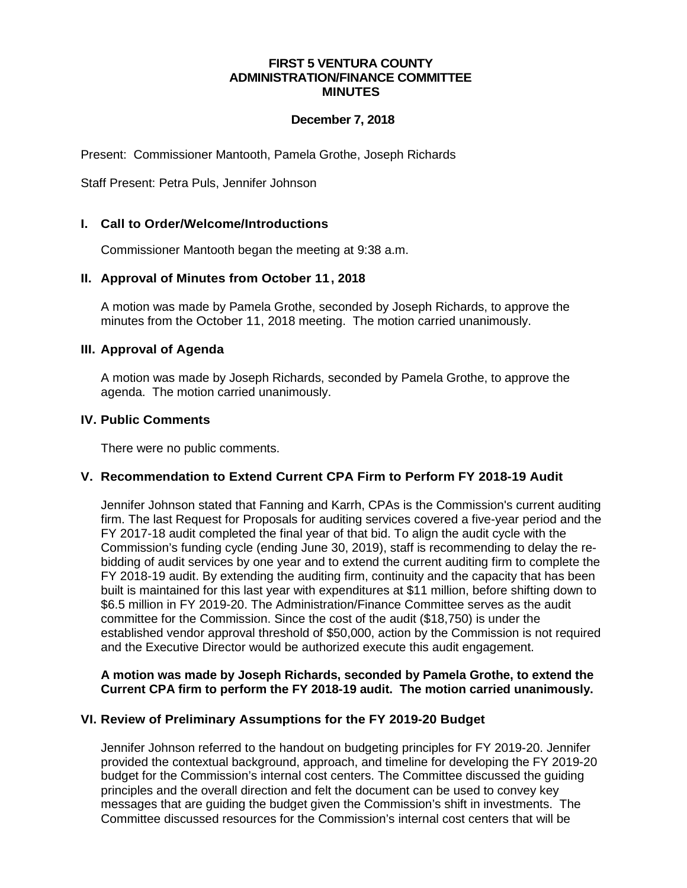#### **FIRST 5 VENTURA COUNTY ADMINISTRATION/FINANCE COMMITTEE MINUTES**

## **December 7, 2018**

Present: Commissioner Mantooth, Pamela Grothe, Joseph Richards

Staff Present: Petra Puls, Jennifer Johnson

### **I. Call to Order/Welcome/Introductions**

Commissioner Mantooth began the meeting at 9:38 a.m.

## **II. Approval of Minutes from October 11, 2018**

A motion was made by Pamela Grothe, seconded by Joseph Richards, to approve the minutes from the October 11, 2018 meeting. The motion carried unanimously.

#### **III. Approval of Agenda**

A motion was made by Joseph Richards, seconded by Pamela Grothe, to approve the agenda. The motion carried unanimously.

### **IV. Public Comments**

There were no public comments.

#### **V. Recommendation to Extend Current CPA Firm to Perform FY 2018-19 Audit**

Jennifer Johnson stated that Fanning and Karrh, CPAs is the Commission's current auditing firm. The last Request for Proposals for auditing services covered a five-year period and the FY 2017-18 audit completed the final year of that bid. To align the audit cycle with the Commission's funding cycle (ending June 30, 2019), staff is recommending to delay the rebidding of audit services by one year and to extend the current auditing firm to complete the FY 2018-19 audit. By extending the auditing firm, continuity and the capacity that has been built is maintained for this last year with expenditures at \$11 million, before shifting down to \$6.5 million in FY 2019-20. The Administration/Finance Committee serves as the audit committee for the Commission. Since the cost of the audit (\$18,750) is under the established vendor approval threshold of \$50,000, action by the Commission is not required and the Executive Director would be authorized execute this audit engagement.

## **A motion was made by Joseph Richards, seconded by Pamela Grothe, to extend the Current CPA firm to perform the FY 2018-19 audit. The motion carried unanimously.**

#### **VI. Review of Preliminary Assumptions for the FY 2019-20 Budget**

Jennifer Johnson referred to the handout on budgeting principles for FY 2019-20. Jennifer provided the contextual background, approach, and timeline for developing the FY 2019-20 budget for the Commission's internal cost centers. The Committee discussed the guiding principles and the overall direction and felt the document can be used to convey key messages that are guiding the budget given the Commission's shift in investments. The Committee discussed resources for the Commission's internal cost centers that will be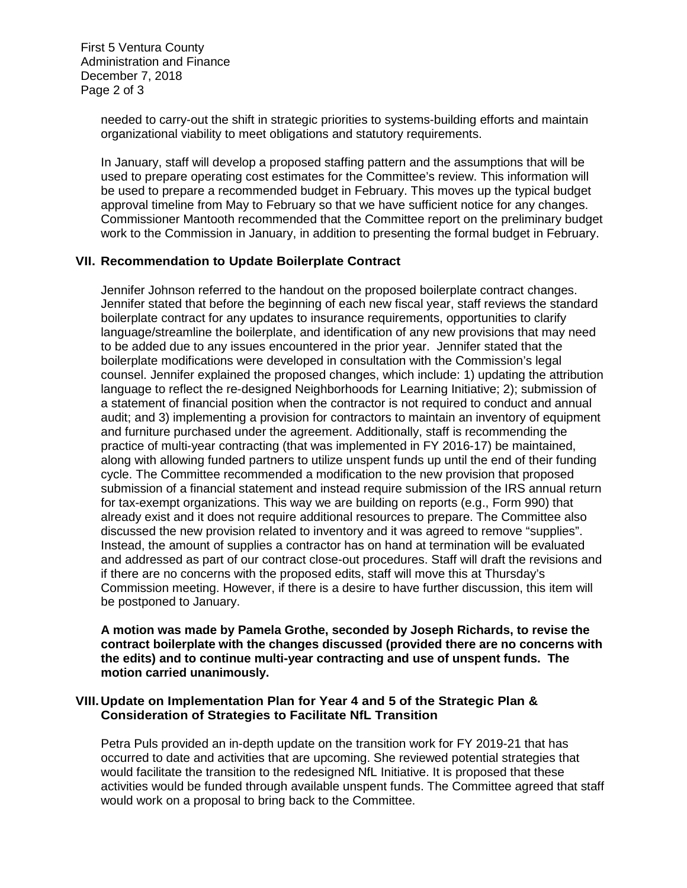First 5 Ventura County Administration and Finance December 7, 2018 Page 2 of 3

> needed to carry-out the shift in strategic priorities to systems-building efforts and maintain organizational viability to meet obligations and statutory requirements.

In January, staff will develop a proposed staffing pattern and the assumptions that will be used to prepare operating cost estimates for the Committee's review. This information will be used to prepare a recommended budget in February. This moves up the typical budget approval timeline from May to February so that we have sufficient notice for any changes. Commissioner Mantooth recommended that the Committee report on the preliminary budget work to the Commission in January, in addition to presenting the formal budget in February.

## **VII. Recommendation to Update Boilerplate Contract**

Jennifer Johnson referred to the handout on the proposed boilerplate contract changes. Jennifer stated that before the beginning of each new fiscal year, staff reviews the standard boilerplate contract for any updates to insurance requirements, opportunities to clarify language/streamline the boilerplate, and identification of any new provisions that may need to be added due to any issues encountered in the prior year. Jennifer stated that the boilerplate modifications were developed in consultation with the Commission's legal counsel. Jennifer explained the proposed changes, which include: 1) updating the attribution language to reflect the re-designed Neighborhoods for Learning Initiative; 2); submission of a statement of financial position when the contractor is not required to conduct and annual audit; and 3) implementing a provision for contractors to maintain an inventory of equipment and furniture purchased under the agreement. Additionally, staff is recommending the practice of multi-year contracting (that was implemented in FY 2016-17) be maintained, along with allowing funded partners to utilize unspent funds up until the end of their funding cycle. The Committee recommended a modification to the new provision that proposed submission of a financial statement and instead require submission of the IRS annual return for tax-exempt organizations. This way we are building on reports (e.g., Form 990) that already exist and it does not require additional resources to prepare. The Committee also discussed the new provision related to inventory and it was agreed to remove "supplies". Instead, the amount of supplies a contractor has on hand at termination will be evaluated and addressed as part of our contract close-out procedures. Staff will draft the revisions and if there are no concerns with the proposed edits, staff will move this at Thursday's Commission meeting. However, if there is a desire to have further discussion, this item will be postponed to January.

**A motion was made by Pamela Grothe, seconded by Joseph Richards, to revise the contract boilerplate with the changes discussed (provided there are no concerns with the edits) and to continue multi-year contracting and use of unspent funds. The motion carried unanimously.**

## **VIII.Update on Implementation Plan for Year 4 and 5 of the Strategic Plan & Consideration of Strategies to Facilitate NfL Transition**

Petra Puls provided an in-depth update on the transition work for FY 2019-21 that has occurred to date and activities that are upcoming. She reviewed potential strategies that would facilitate the transition to the redesigned NfL Initiative. It is proposed that these activities would be funded through available unspent funds. The Committee agreed that staff would work on a proposal to bring back to the Committee.